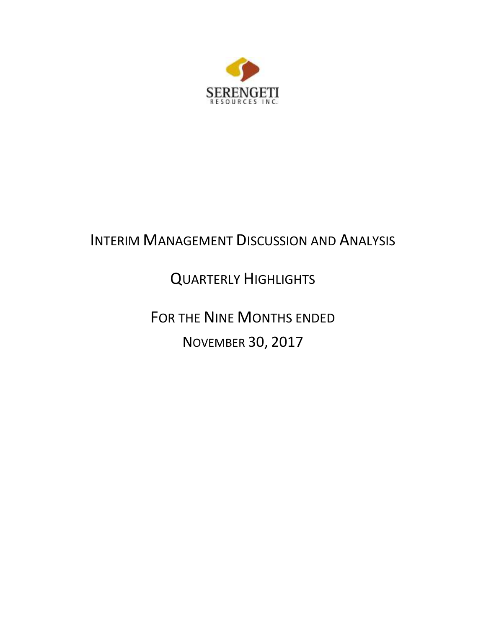

# INTERIM MANAGEMENT DISCUSSION AND ANALYSIS

# QUARTERLY HIGHLIGHTS

FOR THE NINE MONTHS ENDED NOVEMBER 30, 2017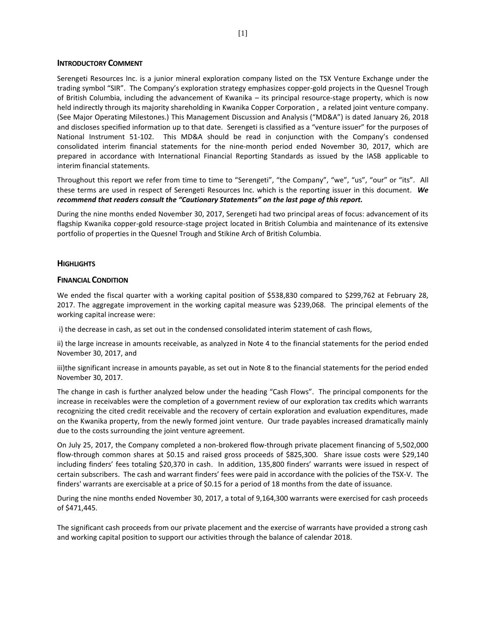### **INTRODUCTORY COMMENT**

Serengeti Resources Inc. is a junior mineral exploration company listed on the TSX Venture Exchange under the trading symbol "SIR". The Company's exploration strategy emphasizes copper-gold projects in the Quesnel Trough of British Columbia, including the advancement of Kwanika – its principal resource-stage property, which is now held indirectly through its majority shareholding in Kwanika Copper Corporation , a related joint venture company. (See Major Operating Milestones.) This Management Discussion and Analysis ("MD&A") is dated January 26, 2018 and discloses specified information up to that date. Serengeti is classified as a "venture issuer" for the purposes of National Instrument 51-102. This MD&A should be read in conjunction with the Company's condensed consolidated interim financial statements for the nine-month period ended November 30, 2017, which are prepared in accordance with International Financial Reporting Standards as issued by the IASB applicable to interim financial statements.

Throughout this report we refer from time to time to "Serengeti", "the Company", "we", "us", "our" or "its". All these terms are used in respect of Serengeti Resources Inc. which is the reporting issuer in this document. *We recommend that readers consult the "Cautionary Statements" on the last page of this report.*

During the nine months ended November 30, 2017, Serengeti had two principal areas of focus: advancement of its flagship Kwanika copper-gold resource-stage project located in British Columbia and maintenance of its extensive portfolio of properties in the Quesnel Trough and Stikine Arch of British Columbia.

#### **HIGHLIGHTS**

#### **FINANCIAL CONDITION**

We ended the fiscal quarter with a working capital position of \$538,830 compared to \$299,762 at February 28, 2017. The aggregate improvement in the working capital measure was \$239,068. The principal elements of the working capital increase were:

i) the decrease in cash, as set out in the condensed consolidated interim statement of cash flows,

ii) the large increase in amounts receivable, as analyzed in Note 4 to the financial statements for the period ended November 30, 2017, and

iii)the significant increase in amounts payable, as set out in Note 8 to the financial statements for the period ended November 30, 2017.

The change in cash is further analyzed below under the heading "Cash Flows". The principal components for the increase in receivables were the completion of a government review of our exploration tax credits which warrants recognizing the cited credit receivable and the recovery of certain exploration and evaluation expenditures, made on the Kwanika property, from the newly formed joint venture. Our trade payables increased dramatically mainly due to the costs surrounding the joint venture agreement.

On July 25, 2017, the Company completed a non-brokered flow-through private placement financing of 5,502,000 flow-through common shares at \$0.15 and raised gross proceeds of \$825,300. Share issue costs were \$29,140 including finders' fees totaling \$20,370 in cash. In addition, 135,800 finders' warrants were issued in respect of certain subscribers. The cash and warrant finders' fees were paid in accordance with the policies of the TSX-V. The finders' warrants are exercisable at a price of \$0.15 for a period of 18 months from the date of issuance.

During the nine months ended November 30, 2017, a total of 9,164,300 warrants were exercised for cash proceeds of \$471,445.

The significant cash proceeds from our private placement and the exercise of warrants have provided a strong cash and working capital position to support our activities through the balance of calendar 2018.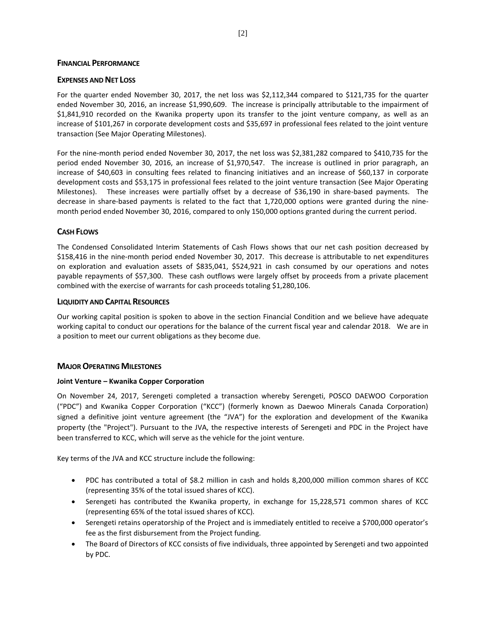### **FINANCIAL PERFORMANCE**

## **EXPENSES AND NET LOSS**

For the quarter ended November 30, 2017, the net loss was \$2,112,344 compared to \$121,735 for the quarter ended November 30, 2016, an increase \$1,990,609. The increase is principally attributable to the impairment of \$1,841,910 recorded on the Kwanika property upon its transfer to the joint venture company, as well as an increase of \$101,267 in corporate development costs and \$35,697 in professional fees related to the joint venture transaction (See Major Operating Milestones).

For the nine-month period ended November 30, 2017, the net loss was \$2,381,282 compared to \$410,735 for the period ended November 30, 2016, an increase of \$1,970,547. The increase is outlined in prior paragraph, an increase of \$40,603 in consulting fees related to financing initiatives and an increase of \$60,137 in corporate development costs and \$53,175 in professional fees related to the joint venture transaction (See Major Operating Milestones). These increases were partially offset by a decrease of \$36,190 in share-based payments. The decrease in share-based payments is related to the fact that 1,720,000 options were granted during the ninemonth period ended November 30, 2016, compared to only 150,000 options granted during the current period.

## **CASH FLOWS**

The Condensed Consolidated Interim Statements of Cash Flows shows that our net cash position decreased by \$158,416 in the nine-month period ended November 30, 2017. This decrease is attributable to net expenditures on exploration and evaluation assets of \$835,041, \$524,921 in cash consumed by our operations and notes payable repayments of \$57,300. These cash outflows were largely offset by proceeds from a private placement combined with the exercise of warrants for cash proceeds totaling \$1,280,106.

## **LIQUIDITY AND CAPITAL RESOURCES**

Our working capital position is spoken to above in the section Financial Condition and we believe have adequate working capital to conduct our operations for the balance of the current fiscal year and calendar 2018. We are in a position to meet our current obligations as they become due.

## **MAJOR OPERATING MILESTONES**

### **Joint Venture – Kwanika Copper Corporation**

On November 24, 2017, Serengeti completed a transaction whereby Serengeti, POSCO DAEWOO Corporation ("PDC") and Kwanika Copper Corporation ("KCC") (formerly known as Daewoo Minerals Canada Corporation) signed a definitive joint venture agreement (the "JVA") for the exploration and development of the Kwanika property (the "Project"). Pursuant to the JVA, the respective interests of Serengeti and PDC in the Project have been transferred to KCC, which will serve as the vehicle for the joint venture.

Key terms of the JVA and KCC structure include the following:

- PDC has contributed a total of \$8.2 million in cash and holds 8,200,000 million common shares of KCC (representing 35% of the total issued shares of KCC).
- Serengeti has contributed the Kwanika property, in exchange for 15,228,571 common shares of KCC (representing 65% of the total issued shares of KCC).
- Serengeti retains operatorship of the Project and is immediately entitled to receive a \$700,000 operator's fee as the first disbursement from the Project funding.
- The Board of Directors of KCC consists of five individuals, three appointed by Serengeti and two appointed by PDC.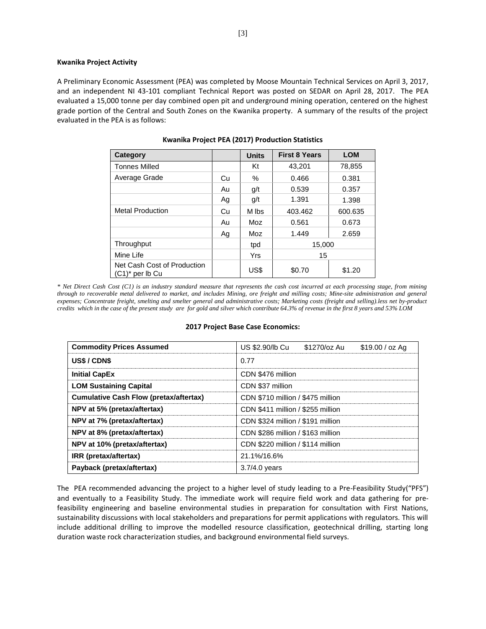#### **Kwanika Project Activity**

A Preliminary Economic Assessment (PEA) was completed by Moose Mountain Technical Services on April 3, 2017, and an independent NI 43-101 compliant Technical Report was posted on SEDAR on April 28, 2017. The PEA evaluated a 15,000 tonne per day combined open pit and underground mining operation, centered on the highest grade portion of the Central and South Zones on the Kwanika property. A summary of the results of the project evaluated in the PEA is as follows:

| <b>Category</b>                                   |    | <b>Units</b> | <b>First 8 Years</b> | <b>LOM</b> |
|---------------------------------------------------|----|--------------|----------------------|------------|
| <b>Tonnes Milled</b>                              |    | Kt           | 43,201               | 78,855     |
| Average Grade                                     | Cu | %            | 0.381<br>0.466       |            |
|                                                   | Au | q/t          | 0.539                | 0.357      |
|                                                   | Ag | q/t          | 1.391                | 1.398      |
| <b>Metal Production</b>                           | Cu | M lbs        | 403.462              | 600.635    |
|                                                   | Au | Moz          | 0.561                | 0.673      |
|                                                   | Ag | Moz          | 1.449                | 2.659      |
| Throughput                                        |    | tpd          | 15,000               |            |
| Mine Life                                         |    | Yrs          | 15                   |            |
| Net Cash Cost of Production<br>$(C1)^*$ per lb Cu |    | US\$         | \$0.70               | \$1.20     |

*\* Net Direct Cash Cost (C1) is an industry standard measure that represents the cash cost incurred at each processing stage, from mining through to recoverable metal delivered to market, and includes Mining, ore freight and milling costs; Mine-site administration and general expenses; Concentrate freight, smelting and smelter general and administrative costs; Marketing costs (freight and selling).less net by-product credits which in the case of the present study are for gold and silver which contribute 64.3% of revenue in the first 8 years and 53% LOM*

#### **2017 Project Base Case Economics:**

| <b>Commodity Prices Assumed</b>               | US \$2.90/lb Cu<br>\$1270/oz Au<br>$$19.00 / oz$ Ag |  |  |  |  |  |
|-----------------------------------------------|-----------------------------------------------------|--|--|--|--|--|
| US\$/CDN\$                                    | 0.77                                                |  |  |  |  |  |
| <b>Initial CapEx</b>                          | CDN \$476 million                                   |  |  |  |  |  |
| <b>LOM Sustaining Capital</b>                 | CDN \$37 million                                    |  |  |  |  |  |
| <b>Cumulative Cash Flow (pretax/aftertax)</b> | CDN \$710 million / \$475 million                   |  |  |  |  |  |
| NPV at 5% (pretax/aftertax)                   | CDN \$411 million / \$255 million                   |  |  |  |  |  |
| NPV at 7% (pretax/aftertax)                   | CDN \$324 million / \$191 million                   |  |  |  |  |  |
| NPV at 8% (pretax/aftertax)                   | CDN \$286 million / \$163 million                   |  |  |  |  |  |
| NPV at 10% (pretax/aftertax)                  | CDN \$220 million / \$114 million                   |  |  |  |  |  |
| IRR (pretax/aftertax)                         | 21.1%/16.6%                                         |  |  |  |  |  |
| Payback (pretax/aftertax)                     | $3.7/4.0$ years                                     |  |  |  |  |  |

The PEA recommended advancing the project to a higher level of study leading to a Pre-Feasibility Study("PFS") and eventually to a Feasibility Study. The immediate work will require field work and data gathering for prefeasibility engineering and baseline environmental studies in preparation for consultation with First Nations, sustainability discussions with local stakeholders and preparations for permit applications with regulators. This will include additional drilling to improve the modelled resource classification, geotechnical drilling, starting long duration waste rock characterization studies, and background environmental field surveys.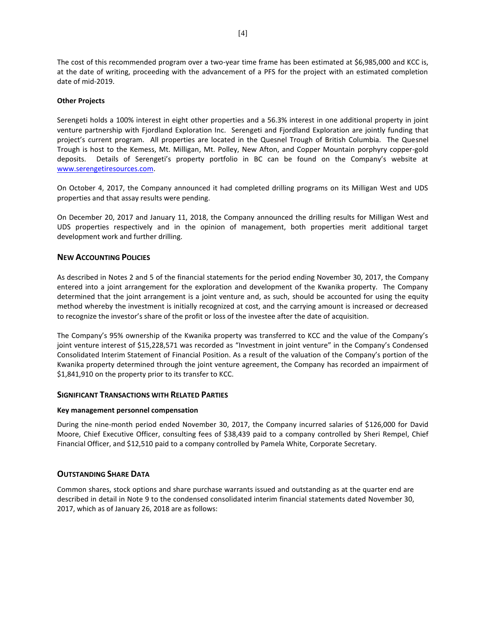The cost of this recommended program over a two-year time frame has been estimated at \$6,985,000 and KCC is, at the date of writing, proceeding with the advancement of a PFS for the project with an estimated completion date of mid-2019.

### **Other Projects**

Serengeti holds a 100% interest in eight other properties and a 56.3% interest in one additional property in joint venture partnership with Fjordland Exploration Inc. Serengeti and Fjordland Exploration are jointly funding that project's current program. All properties are located in the Quesnel Trough of British Columbia. The Quesnel Trough is host to the Kemess, Mt. Milligan, Mt. Polley, New Afton, and Copper Mountain porphyry copper-gold deposits. Details of Serengeti's property portfolio in BC can be found on the Company's website at [www.serengetiresources.com.](http://www.serengetiresources.com/)

On October 4, 2017, the Company announced it had completed drilling programs on its Milligan West and UDS properties and that assay results were pending.

On December 20, 2017 and January 11, 2018, the Company announced the drilling results for Milligan West and UDS properties respectively and in the opinion of management, both properties merit additional target development work and further drilling.

## **NEW ACCOUNTING POLICIES**

As described in Notes 2 and 5 of the financial statements for the period ending November 30, 2017, the Company entered into a joint arrangement for the exploration and development of the Kwanika property. The Company determined that the joint arrangement is a joint venture and, as such, should be accounted for using the equity method whereby the investment is initially recognized at cost, and the carrying amount is increased or decreased to recognize the investor's share of the profit or loss of the investee after the date of acquisition.

The Company's 95% ownership of the Kwanika property was transferred to KCC and the value of the Company's joint venture interest of \$15,228,571 was recorded as "Investment in joint venture" in the Company's Condensed Consolidated Interim Statement of Financial Position. As a result of the valuation of the Company's portion of the Kwanika property determined through the joint venture agreement, the Company has recorded an impairment of \$1,841,910 on the property prior to its transfer to KCC.

### **SIGNIFICANT TRANSACTIONS WITH RELATED PARTIES**

### **Key management personnel compensation**

During the nine-month period ended November 30, 2017, the Company incurred salaries of \$126,000 for David Moore, Chief Executive Officer, consulting fees of \$38,439 paid to a company controlled by Sheri Rempel, Chief Financial Officer, and \$12,510 paid to a company controlled by Pamela White, Corporate Secretary.

## **OUTSTANDING SHARE DATA**

Common shares, stock options and share purchase warrants issued and outstanding as at the quarter end are described in detail in Note 9 to the condensed consolidated interim financial statements dated November 30, 2017, which as of January 26, 2018 are as follows: